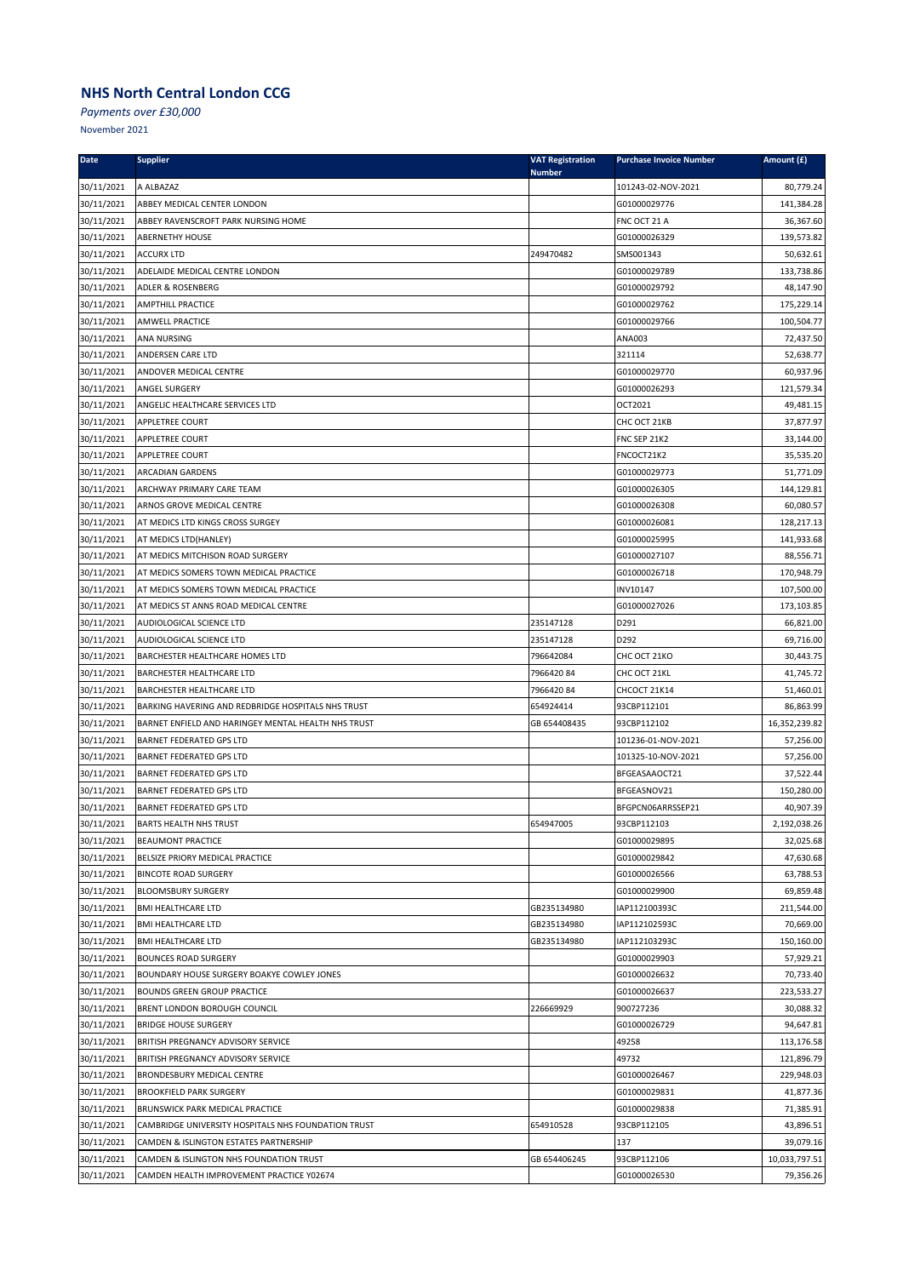*Payments over £30,000*

| <b>Date</b> | <b>Supplier</b>                                     | <b>VAT Registration</b> | <b>Purchase Invoice Number</b> | Amount (£)    |
|-------------|-----------------------------------------------------|-------------------------|--------------------------------|---------------|
| 30/11/2021  | A ALBAZAZ                                           | <b>Number</b>           | 101243-02-NOV-2021             | 80,779.24     |
| 30/11/2021  | ABBEY MEDICAL CENTER LONDON                         |                         | G01000029776                   | 141,384.28    |
| 30/11/2021  | ABBEY RAVENSCROFT PARK NURSING HOME                 |                         | FNC OCT 21 A                   | 36,367.60     |
| 30/11/2021  | <b>ABERNETHY HOUSE</b>                              |                         | G01000026329                   | 139,573.82    |
| 30/11/2021  | <b>ACCURX LTD</b>                                   | 249470482               | SMS001343                      | 50,632.61     |
| 30/11/2021  | ADELAIDE MEDICAL CENTRE LONDON                      |                         | G01000029789                   | 133,738.86    |
| 30/11/2021  | ADLER & ROSENBERG                                   |                         | G01000029792                   | 48,147.90     |
| 30/11/2021  | <b>AMPTHILL PRACTICE</b>                            |                         | G01000029762                   | 175,229.14    |
| 30/11/2021  | AMWELL PRACTICE                                     |                         | G01000029766                   | 100,504.77    |
| 30/11/2021  | ANA NURSING                                         |                         | ANA003                         | 72,437.50     |
| 30/11/2021  | ANDERSEN CARE LTD                                   |                         | 321114                         | 52,638.77     |
| 30/11/2021  | ANDOVER MEDICAL CENTRE                              |                         | G01000029770                   | 60,937.96     |
| 30/11/2021  | ANGEL SURGERY                                       |                         | G01000026293                   | 121,579.34    |
| 30/11/2021  | ANGELIC HEALTHCARE SERVICES LTD                     |                         | OCT2021                        | 49,481.15     |
| 30/11/2021  | APPLETREE COURT                                     |                         | CHC OCT 21KB                   | 37,877.97     |
| 30/11/2021  | APPLETREE COURT                                     |                         | FNC SEP 21K2                   | 33,144.00     |
| 30/11/2021  | APPLETREE COURT                                     |                         | FNCOCT21K2                     | 35,535.20     |
| 30/11/2021  | ARCADIAN GARDENS                                    |                         | G01000029773                   | 51,771.09     |
| 30/11/2021  | ARCHWAY PRIMARY CARE TEAM                           |                         | G01000026305                   | 144,129.81    |
| 30/11/2021  | ARNOS GROVE MEDICAL CENTRE                          |                         | G01000026308                   | 60,080.57     |
| 30/11/2021  | AT MEDICS LTD KINGS CROSS SURGEY                    |                         | G01000026081                   | 128,217.13    |
| 30/11/2021  | AT MEDICS LTD(HANLEY)                               |                         | G01000025995                   | 141,933.68    |
| 30/11/2021  | AT MEDICS MITCHISON ROAD SURGERY                    |                         | G01000027107                   | 88,556.71     |
| 30/11/2021  | AT MEDICS SOMERS TOWN MEDICAL PRACTICE              |                         | G01000026718                   | 170,948.79    |
| 30/11/2021  | AT MEDICS SOMERS TOWN MEDICAL PRACTICE              |                         | INV10147                       | 107,500.00    |
| 30/11/2021  | AT MEDICS ST ANNS ROAD MEDICAL CENTRE               |                         | G01000027026                   | 173,103.85    |
| 30/11/2021  | AUDIOLOGICAL SCIENCE LTD                            | 235147128               | D291                           | 66,821.00     |
| 30/11/2021  | AUDIOLOGICAL SCIENCE LTD                            | 235147128               | D292                           | 69,716.00     |
| 30/11/2021  | BARCHESTER HEALTHCARE HOMES LTD                     | 796642084               | CHC OCT 21KO                   | 30,443.75     |
| 30/11/2021  | BARCHESTER HEALTHCARE LTD                           | 796642084               | CHC OCT 21KL                   | 41,745.72     |
| 30/11/2021  | BARCHESTER HEALTHCARE LTD                           | 796642084               | CHCOCT 21K14                   | 51,460.01     |
| 30/11/2021  | BARKING HAVERING AND REDBRIDGE HOSPITALS NHS TRUST  | 654924414               | 93CBP112101                    | 86,863.99     |
| 30/11/2021  | BARNET ENFIELD AND HARINGEY MENTAL HEALTH NHS TRUST | GB 654408435            | 93CBP112102                    | 16,352,239.82 |
| 30/11/2021  | BARNET FEDERATED GPS LTD                            |                         | 101236-01-NOV-2021             | 57,256.00     |
| 30/11/2021  | <b>BARNET FEDERATED GPS LTD</b>                     |                         | 101325-10-NOV-2021             | 57,256.00     |
| 30/11/2021  | <b>BARNET FEDERATED GPS LTD</b>                     |                         | BFGEASAAOCT21                  | 37,522.44     |
| 30/11/2021  | <b>BARNET FEDERATED GPS LTD</b>                     |                         | BFGEASNOV21                    | 150,280.00    |
| 30/11/2021  | <b>BARNET FEDERATED GPS LTD</b>                     |                         | BFGPCN06ARRSSEP21              | 40,907.39     |
| 30/11/2021  | <b>BARTS HEALTH NHS TRUST</b>                       | 654947005               | 93CBP112103                    | 2,192,038.26  |
| 30/11/2021  | <b>BEAUMONT PRACTICE</b>                            |                         | G01000029895                   | 32,025.68     |
| 30/11/2021  | BELSIZE PRIORY MEDICAL PRACTICE                     |                         | G01000029842                   | 47,630.68     |
| 30/11/2021  | <b>BINCOTE ROAD SURGERY</b>                         |                         | G01000026566                   | 63,788.53     |
| 30/11/2021  | <b>BLOOMSBURY SURGERY</b>                           |                         | G01000029900                   | 69,859.48     |
| 30/11/2021  | <b>BMI HEALTHCARE LTD</b>                           | GB235134980             | IAP112100393C                  | 211,544.00    |
| 30/11/2021  | <b>BMI HEALTHCARE LTD</b>                           | GB235134980             | IAP112102593C                  | 70,669.00     |
| 30/11/2021  | <b>BMI HEALTHCARE LTD</b>                           | GB235134980             | IAP112103293C                  | 150,160.00    |
| 30/11/2021  | <b>BOUNCES ROAD SURGERY</b>                         |                         | G01000029903                   | 57,929.21     |
| 30/11/2021  | BOUNDARY HOUSE SURGERY BOAKYE COWLEY JONES          |                         | G01000026632                   | 70,733.40     |
| 30/11/2021  | <b>BOUNDS GREEN GROUP PRACTICE</b>                  |                         | G01000026637                   | 223,533.27    |
| 30/11/2021  | BRENT LONDON BOROUGH COUNCIL                        | 226669929               | 900727236                      | 30,088.32     |
| 30/11/2021  | <b>BRIDGE HOUSE SURGERY</b>                         |                         | G01000026729                   | 94,647.81     |
| 30/11/2021  | <b>BRITISH PREGNANCY ADVISORY SERVICE</b>           |                         | 49258                          | 113,176.58    |
| 30/11/2021  | BRITISH PREGNANCY ADVISORY SERVICE                  |                         | 49732                          | 121,896.79    |
| 30/11/2021  | <b>BRONDESBURY MEDICAL CENTRE</b>                   |                         | G01000026467                   | 229,948.03    |
| 30/11/2021  | <b>BROOKFIELD PARK SURGERY</b>                      |                         | G01000029831                   | 41,877.36     |
| 30/11/2021  | <b>BRUNSWICK PARK MEDICAL PRACTICE</b>              |                         | G01000029838                   | 71,385.91     |
| 30/11/2021  | CAMBRIDGE UNIVERSITY HOSPITALS NHS FOUNDATION TRUST | 654910528               | 93CBP112105                    | 43,896.51     |
| 30/11/2021  | CAMDEN & ISLINGTON ESTATES PARTNERSHIP              |                         | 137                            | 39,079.16     |
| 30/11/2021  | CAMDEN & ISLINGTON NHS FOUNDATION TRUST             | GB 654406245            | 93CBP112106                    | 10,033,797.51 |
| 30/11/2021  | CAMDEN HEALTH IMPROVEMENT PRACTICE Y02674           |                         | G01000026530                   | 79,356.26     |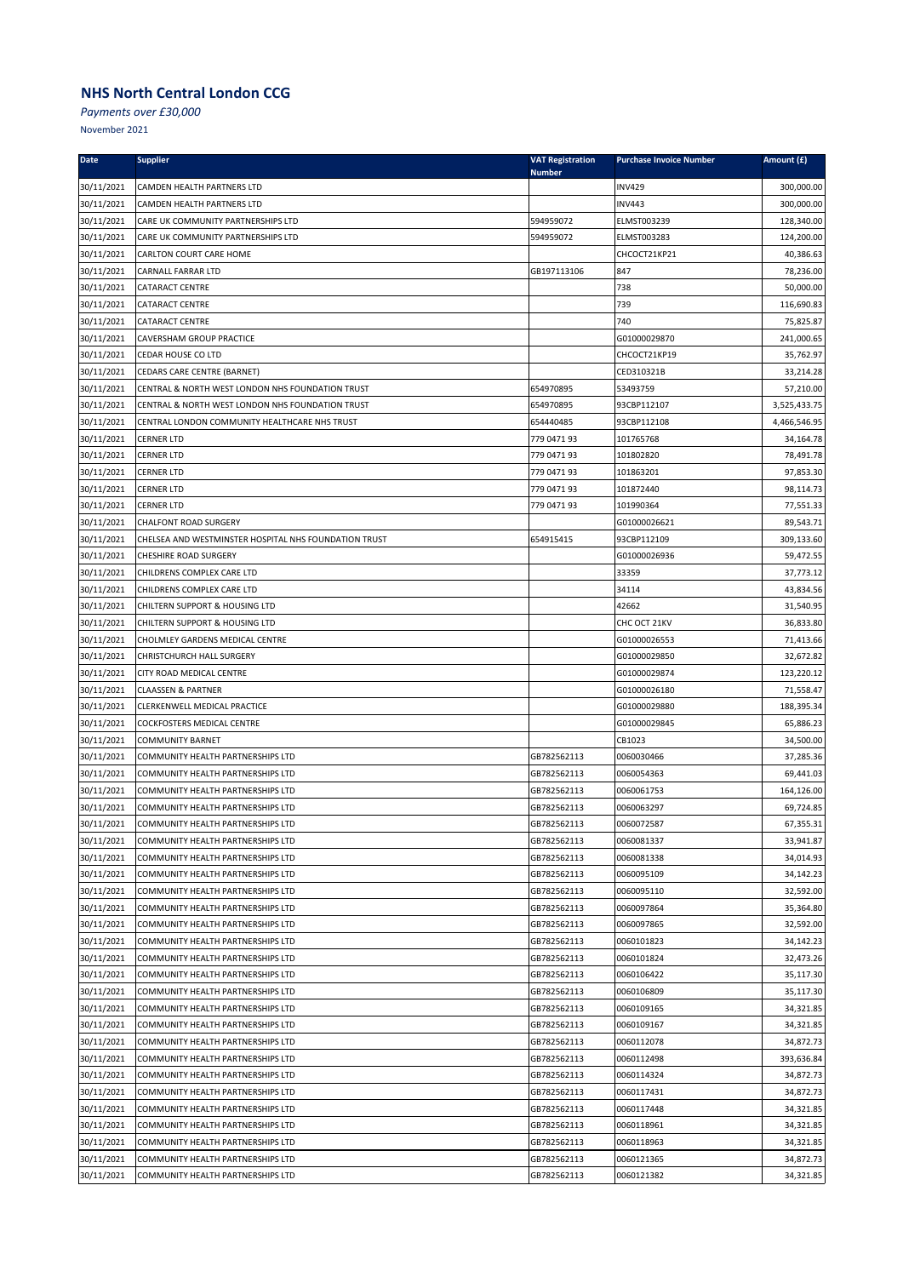*Payments over £30,000*

| <b>Date</b> | <b>Supplier</b>                                       | <b>VAT Registration</b><br><b>Number</b> | <b>Purchase Invoice Number</b> | Amount (£)   |
|-------------|-------------------------------------------------------|------------------------------------------|--------------------------------|--------------|
| 30/11/2021  | CAMDEN HEALTH PARTNERS LTD                            |                                          | <b>INV429</b>                  | 300,000.00   |
| 30/11/2021  | CAMDEN HEALTH PARTNERS LTD                            |                                          | <b>INV443</b>                  | 300,000.00   |
| 30/11/2021  | CARE UK COMMUNITY PARTNERSHIPS LTD                    | 594959072                                | ELMST003239                    | 128,340.00   |
| 30/11/2021  | CARE UK COMMUNITY PARTNERSHIPS LTD                    | 594959072                                | ELMST003283                    | 124,200.00   |
| 30/11/2021  | CARLTON COURT CARE HOME                               |                                          | CHCOCT21KP21                   | 40,386.63    |
| 30/11/2021  | CARNALL FARRAR LTD                                    | GB197113106                              | 847                            | 78,236.00    |
| 30/11/2021  | <b>CATARACT CENTRE</b>                                |                                          | 738                            | 50,000.00    |
| 30/11/2021  | CATARACT CENTRE                                       |                                          | 739                            | 116,690.83   |
| 30/11/2021  | <b>CATARACT CENTRE</b>                                |                                          | 740                            | 75,825.87    |
| 30/11/2021  | CAVERSHAM GROUP PRACTICE                              |                                          | G01000029870                   | 241,000.65   |
| 30/11/2021  | <b>CEDAR HOUSE CO LTD</b>                             |                                          | CHCOCT21KP19                   | 35,762.97    |
| 30/11/2021  | CEDARS CARE CENTRE (BARNET)                           |                                          | CED310321B                     | 33,214.28    |
| 30/11/2021  | CENTRAL & NORTH WEST LONDON NHS FOUNDATION TRUST      | 654970895                                | 53493759                       | 57,210.00    |
| 30/11/2021  | CENTRAL & NORTH WEST LONDON NHS FOUNDATION TRUST      | 654970895                                | 93CBP112107                    | 3,525,433.75 |
| 30/11/2021  | CENTRAL LONDON COMMUNITY HEALTHCARE NHS TRUST         | 654440485                                | 93CBP112108                    | 4,466,546.95 |
| 30/11/2021  | <b>CERNER LTD</b>                                     | 779 0471 93                              | 101765768                      | 34,164.78    |
| 30/11/2021  | <b>CERNER LTD</b>                                     | 779 0471 93                              | 101802820                      | 78,491.78    |
| 30/11/2021  | <b>CERNER LTD</b>                                     | 779 0471 93                              | 101863201                      | 97,853.30    |
| 30/11/2021  | <b>CERNER LTD</b>                                     | 779 0471 93                              | 101872440                      | 98,114.73    |
| 30/11/2021  | <b>CERNER LTD</b>                                     | 779 0471 93                              | 101990364                      | 77,551.33    |
| 30/11/2021  | <b>CHALFONT ROAD SURGERY</b>                          |                                          | G01000026621                   | 89,543.71    |
| 30/11/2021  | CHELSEA AND WESTMINSTER HOSPITAL NHS FOUNDATION TRUST | 654915415                                | 93CBP112109                    | 309,133.60   |
| 30/11/2021  | <b>CHESHIRE ROAD SURGERY</b>                          |                                          | G01000026936                   | 59,472.55    |
| 30/11/2021  | CHILDRENS COMPLEX CARE LTD                            |                                          | 33359                          | 37,773.12    |
| 30/11/2021  | CHILDRENS COMPLEX CARE LTD                            |                                          | 34114                          | 43,834.56    |
| 30/11/2021  | CHILTERN SUPPORT & HOUSING LTD                        |                                          | 42662                          | 31,540.95    |
| 30/11/2021  | CHILTERN SUPPORT & HOUSING LTD                        |                                          | CHC OCT 21KV                   | 36,833.80    |
| 30/11/2021  | CHOLMLEY GARDENS MEDICAL CENTRE                       |                                          | G01000026553                   | 71,413.66    |
| 30/11/2021  | CHRISTCHURCH HALL SURGERY                             |                                          | G01000029850                   | 32,672.82    |
| 30/11/2021  | CITY ROAD MEDICAL CENTRE                              |                                          | G01000029874                   | 123,220.12   |
| 30/11/2021  | <b>CLAASSEN &amp; PARTNER</b>                         |                                          | G01000026180                   | 71,558.47    |
| 30/11/2021  | CLERKENWELL MEDICAL PRACTICE                          |                                          | G01000029880                   | 188,395.34   |
| 30/11/2021  | <b>COCKFOSTERS MEDICAL CENTRE</b>                     |                                          | G01000029845                   | 65,886.23    |
| 30/11/2021  | <b>COMMUNITY BARNET</b>                               |                                          | CB1023                         | 34,500.00    |
| 30/11/2021  | COMMUNITY HEALTH PARTNERSHIPS LTD                     | GB782562113                              | 0060030466                     | 37,285.36    |
| 30/11/2021  | COMMUNITY HEALTH PARTNERSHIPS LTD                     | GB782562113                              | 0060054363                     | 69,441.03    |
| 30/11/2021  | COMMUNITY HEALTH PARTNERSHIPS LTD                     | GB782562113                              | 0060061753                     | 164,126.00   |
| 30/11/2021  | COMMUNITY HEALTH PARTNERSHIPS LTD                     | GB782562113                              | 0060063297                     | 69,724.85    |
| 30/11/2021  | COMMUNITY HEALTH PARTNERSHIPS LTD                     | GB782562113                              | 0060072587                     | 67,355.31    |
| 30/11/2021  | COMMUNITY HEALTH PARTNERSHIPS LTD                     | GB782562113                              | 0060081337                     | 33,941.87    |
| 30/11/2021  | COMMUNITY HEALTH PARTNERSHIPS LTD                     | GB782562113                              | 0060081338                     | 34,014.93    |
| 30/11/2021  | COMMUNITY HEALTH PARTNERSHIPS LTD                     | GB782562113                              | 0060095109                     | 34,142.23    |
| 30/11/2021  | COMMUNITY HEALTH PARTNERSHIPS LTD                     | GB782562113                              | 0060095110                     | 32,592.00    |
| 30/11/2021  | COMMUNITY HEALTH PARTNERSHIPS LTD                     | GB782562113                              | 0060097864                     | 35,364.80    |
| 30/11/2021  | COMMUNITY HEALTH PARTNERSHIPS LTD                     | GB782562113                              | 0060097865                     | 32,592.00    |
| 30/11/2021  | COMMUNITY HEALTH PARTNERSHIPS LTD                     | GB782562113                              | 0060101823                     | 34,142.23    |
| 30/11/2021  | COMMUNITY HEALTH PARTNERSHIPS LTD                     | GB782562113                              | 0060101824                     | 32,473.26    |
| 30/11/2021  | COMMUNITY HEALTH PARTNERSHIPS LTD                     | GB782562113                              | 0060106422                     | 35,117.30    |
| 30/11/2021  | COMMUNITY HEALTH PARTNERSHIPS LTD                     | GB782562113                              | 0060106809                     | 35,117.30    |
| 30/11/2021  | COMMUNITY HEALTH PARTNERSHIPS LTD                     | GB782562113                              | 0060109165                     | 34,321.85    |
| 30/11/2021  | COMMUNITY HEALTH PARTNERSHIPS LTD                     | GB782562113                              | 0060109167                     | 34,321.85    |
| 30/11/2021  | COMMUNITY HEALTH PARTNERSHIPS LTD                     | GB782562113                              | 0060112078                     | 34,872.73    |
| 30/11/2021  | COMMUNITY HEALTH PARTNERSHIPS LTD                     | GB782562113                              | 0060112498                     | 393,636.84   |
| 30/11/2021  | COMMUNITY HEALTH PARTNERSHIPS LTD                     | GB782562113                              | 0060114324                     | 34,872.73    |
| 30/11/2021  | COMMUNITY HEALTH PARTNERSHIPS LTD                     | GB782562113                              | 0060117431                     | 34,872.73    |
| 30/11/2021  | COMMUNITY HEALTH PARTNERSHIPS LTD                     | GB782562113                              | 0060117448                     | 34,321.85    |
| 30/11/2021  | COMMUNITY HEALTH PARTNERSHIPS LTD                     | GB782562113                              | 0060118961                     | 34,321.85    |
| 30/11/2021  | COMMUNITY HEALTH PARTNERSHIPS LTD                     | GB782562113                              | 0060118963                     | 34,321.85    |
| 30/11/2021  | COMMUNITY HEALTH PARTNERSHIPS LTD                     | GB782562113                              | 0060121365                     | 34,872.73    |
| 30/11/2021  | COMMUNITY HEALTH PARTNERSHIPS LTD                     | GB782562113                              | 0060121382                     | 34,321.85    |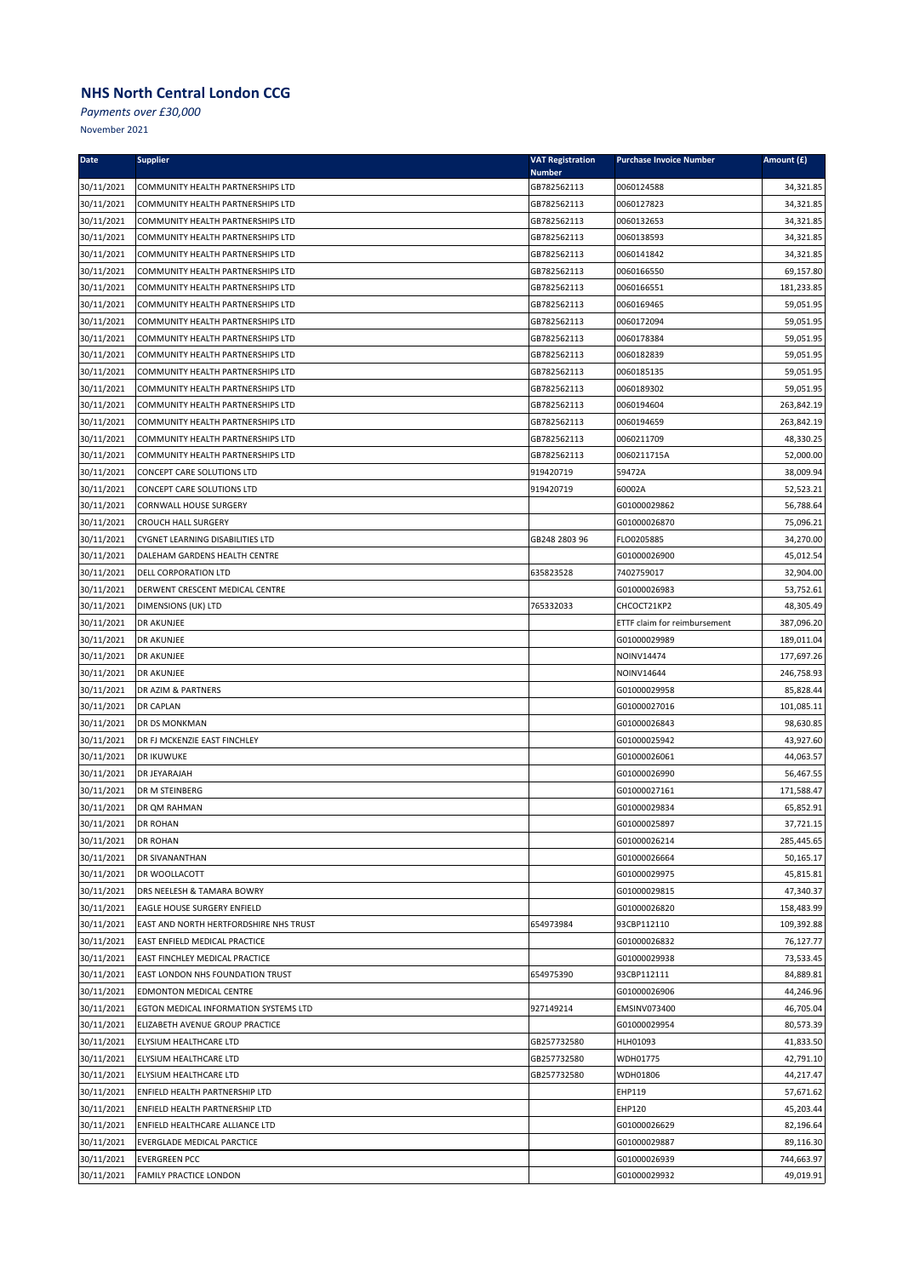*Payments over £30,000*

| <b>Date</b>              | <b>Supplier</b>                                                          | <b>VAT Registration</b><br><b>Number</b> | <b>Purchase Invoice Number</b> | Amount (£)              |
|--------------------------|--------------------------------------------------------------------------|------------------------------------------|--------------------------------|-------------------------|
| 30/11/2021               | COMMUNITY HEALTH PARTNERSHIPS LTD                                        | GB782562113                              | 0060124588                     | 34,321.85               |
| 30/11/2021               | COMMUNITY HEALTH PARTNERSHIPS LTD                                        | GB782562113                              | 0060127823                     | 34,321.85               |
| 30/11/2021               | COMMUNITY HEALTH PARTNERSHIPS LTD                                        | GB782562113                              | 0060132653                     | 34,321.85               |
| 30/11/2021               | COMMUNITY HEALTH PARTNERSHIPS LTD                                        | GB782562113                              | 0060138593                     | 34,321.85               |
| 30/11/2021               | COMMUNITY HEALTH PARTNERSHIPS LTD                                        | GB782562113                              | 0060141842                     | 34,321.85               |
| 30/11/2021               | COMMUNITY HEALTH PARTNERSHIPS LTD                                        | GB782562113                              | 0060166550                     | 69,157.80               |
| 30/11/2021               | COMMUNITY HEALTH PARTNERSHIPS LTD                                        | GB782562113                              | 0060166551                     | 181,233.85              |
| 30/11/2021               | COMMUNITY HEALTH PARTNERSHIPS LTD                                        | GB782562113                              | 0060169465                     | 59,051.95               |
| 30/11/2021               | COMMUNITY HEALTH PARTNERSHIPS LTD                                        | GB782562113                              | 0060172094                     | 59,051.95               |
| 30/11/2021               | COMMUNITY HEALTH PARTNERSHIPS LTD                                        | GB782562113                              | 0060178384                     | 59,051.95               |
| 30/11/2021               | COMMUNITY HEALTH PARTNERSHIPS LTD                                        | GB782562113                              | 0060182839                     | 59,051.95               |
| 30/11/2021               | COMMUNITY HEALTH PARTNERSHIPS LTD                                        | GB782562113                              | 0060185135                     | 59,051.95               |
| 30/11/2021               | COMMUNITY HEALTH PARTNERSHIPS LTD                                        | GB782562113                              | 0060189302                     | 59,051.95               |
| 30/11/2021               | COMMUNITY HEALTH PARTNERSHIPS LTD                                        | GB782562113                              | 0060194604                     | 263,842.19              |
| 30/11/2021               | COMMUNITY HEALTH PARTNERSHIPS LTD                                        | GB782562113                              | 0060194659                     | 263,842.19              |
| 30/11/2021               | COMMUNITY HEALTH PARTNERSHIPS LTD                                        | GB782562113                              | 0060211709                     | 48,330.25               |
| 30/11/2021               | COMMUNITY HEALTH PARTNERSHIPS LTD                                        | GB782562113                              | 0060211715A                    | 52,000.00               |
| 30/11/2021               | CONCEPT CARE SOLUTIONS LTD                                               | 919420719                                | 59472A                         | 38,009.94               |
| 30/11/2021               | CONCEPT CARE SOLUTIONS LTD                                               | 919420719                                | 60002A                         | 52,523.21               |
| 30/11/2021               | CORNWALL HOUSE SURGERY                                                   |                                          | G01000029862                   | 56,788.64               |
| 30/11/2021               | <b>CROUCH HALL SURGERY</b>                                               |                                          | G01000026870                   | 75,096.21               |
| 30/11/2021               | CYGNET LEARNING DISABILITIES LTD                                         | GB248 2803 96                            | FLO0205885                     | 34,270.00               |
| 30/11/2021               | DALEHAM GARDENS HEALTH CENTRE                                            |                                          | G01000026900                   | 45,012.54               |
| 30/11/2021               | DELL CORPORATION LTD                                                     | 635823528                                | 7402759017                     | 32,904.00               |
| 30/11/2021               | DERWENT CRESCENT MEDICAL CENTRE                                          |                                          | G01000026983                   | 53,752.61               |
| 30/11/2021               | DIMENSIONS (UK) LTD                                                      | 765332033                                | CHCOCT21KP2                    | 48,305.49               |
| 30/11/2021               | DR AKUNJEE                                                               |                                          | ETTF claim for reimbursement   | 387,096.20              |
| 30/11/2021               | <b>DR AKUNJEE</b>                                                        |                                          | G01000029989                   | 189,011.04              |
| 30/11/2021               | DR AKUNJEE                                                               |                                          | NOINV14474                     | 177,697.26              |
| 30/11/2021               | <b>DR AKUNJEE</b>                                                        |                                          | <b>NOINV14644</b>              | 246,758.93              |
| 30/11/2021               | DR AZIM & PARTNERS                                                       |                                          | G01000029958                   | 85,828.44               |
| 30/11/2021               | <b>DR CAPLAN</b>                                                         |                                          | G01000027016                   | 101,085.11              |
| 30/11/2021               | DR DS MONKMAN                                                            |                                          | G01000026843                   | 98,630.85               |
| 30/11/2021               | DR FJ MCKENZIE EAST FINCHLEY                                             |                                          | G01000025942                   | 43,927.60               |
| 30/11/2021               | <b>DR IKUWUKE</b>                                                        |                                          | G01000026061                   | 44,063.57               |
| 30/11/2021               | DR JEYARAJAH                                                             |                                          | G01000026990                   | 56,467.55               |
| 30/11/2021               | DR M STEINBERG                                                           |                                          | G01000027161                   | 171,588.47              |
| 30/11/2021               | DR QM RAHMAN                                                             |                                          | G01000029834                   | 65,852.91               |
| 30/11/2021               | <b>DR ROHAN</b>                                                          |                                          | G01000025897                   | 37,721.15               |
| 30/11/2021               | <b>DR ROHAN</b>                                                          |                                          | G01000026214                   | 285,445.65              |
| 30/11/2021               | DR SIVANANTHAN                                                           |                                          | G01000026664                   | 50,165.17               |
| 30/11/2021               | DR WOOLLACOTT                                                            |                                          | G01000029975                   | 45,815.81               |
| 30/11/2021               | DRS NEELESH & TAMARA BOWRY                                               |                                          | G01000029815                   | 47,340.37               |
| 30/11/2021               | EAGLE HOUSE SURGERY ENFIELD                                              |                                          | G01000026820                   | 158,483.99              |
| 30/11/2021               | EAST AND NORTH HERTFORDSHIRE NHS TRUST                                   | 654973984                                | 93CBP112110                    | 109,392.88<br>76,127.77 |
| 30/11/2021               | EAST ENFIELD MEDICAL PRACTICE                                            |                                          | G01000026832<br>G01000029938   |                         |
| 30/11/2021               | EAST FINCHLEY MEDICAL PRACTICE                                           |                                          |                                | 73,533.45<br>84,889.81  |
| 30/11/2021<br>30/11/2021 | EAST LONDON NHS FOUNDATION TRUST                                         | 654975390                                | 93CBP112111<br>G01000026906    | 44,246.96               |
|                          | EDMONTON MEDICAL CENTRE                                                  |                                          |                                |                         |
| 30/11/2021<br>30/11/2021 | EGTON MEDICAL INFORMATION SYSTEMS LTD<br>ELIZABETH AVENUE GROUP PRACTICE | 927149214                                | EMSINV073400<br>G01000029954   | 46,705.04<br>80,573.39  |
| 30/11/2021               | ELYSIUM HEALTHCARE LTD                                                   | GB257732580                              | HLH01093                       | 41,833.50               |
| 30/11/2021               | <b>ELYSIUM HEALTHCARE LTD</b>                                            | GB257732580                              | WDH01775                       | 42,791.10               |
| 30/11/2021               | ELYSIUM HEALTHCARE LTD                                                   | GB257732580                              | WDH01806                       | 44,217.47               |
| 30/11/2021               | ENFIELD HEALTH PARTNERSHIP LTD                                           |                                          | EHP119                         | 57,671.62               |
| 30/11/2021               | ENFIELD HEALTH PARTNERSHIP LTD                                           |                                          | EHP120                         | 45,203.44               |
| 30/11/2021               | <b>ENFIELD HEALTHCARE ALLIANCE LTD</b>                                   |                                          | G01000026629                   | 82,196.64               |
| 30/11/2021               | EVERGLADE MEDICAL PARCTICE                                               |                                          | G01000029887                   | 89,116.30               |
| 30/11/2021               | <b>EVERGREEN PCC</b>                                                     |                                          | G01000026939                   | 744,663.97              |
| 30/11/2021               | FAMILY PRACTICE LONDON                                                   |                                          | G01000029932                   | 49,019.91               |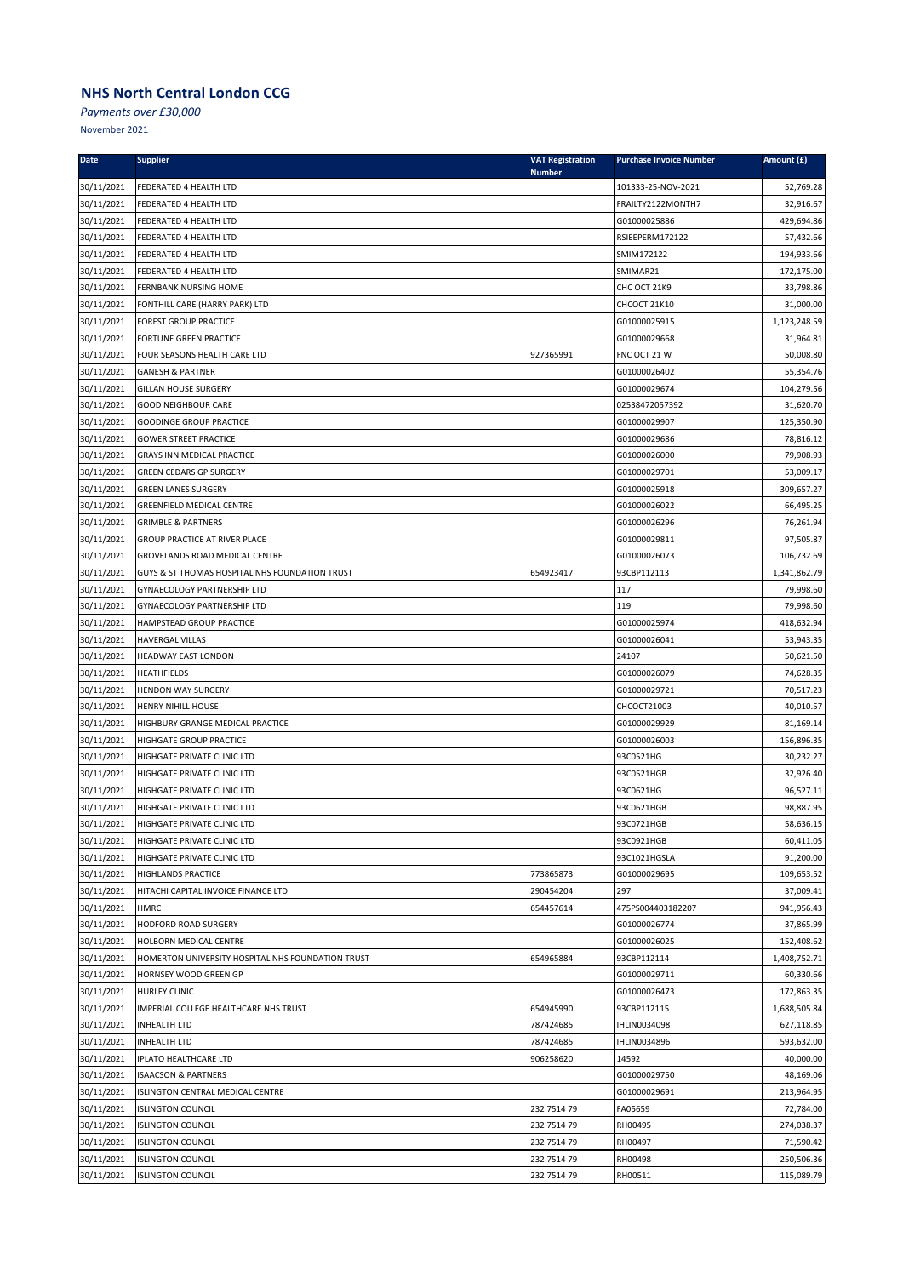*Payments over £30,000*

| <b>Date</b> | <b>Supplier</b>                                   | <b>VAT Registration</b><br><b>Number</b> | <b>Purchase Invoice Number</b> | Amount (£)   |
|-------------|---------------------------------------------------|------------------------------------------|--------------------------------|--------------|
| 30/11/2021  | FEDERATED 4 HEALTH LTD                            |                                          | 101333-25-NOV-2021             | 52,769.28    |
| 30/11/2021  | FEDERATED 4 HEALTH LTD                            |                                          | FRAILTY2122MONTH7              | 32,916.67    |
| 30/11/2021  | FEDERATED 4 HEALTH LTD                            |                                          | G01000025886                   | 429,694.86   |
| 30/11/2021  | FEDERATED 4 HEALTH LTD                            |                                          | RSIEEPERM172122                | 57,432.66    |
| 30/11/2021  | FEDERATED 4 HEALTH LTD                            |                                          | SMIM172122                     | 194,933.66   |
| 30/11/2021  | FEDERATED 4 HEALTH LTD                            |                                          | SMIMAR21                       | 172,175.00   |
| 30/11/2021  | FERNBANK NURSING HOME                             |                                          | CHC OCT 21K9                   | 33,798.86    |
| 30/11/2021  | FONTHILL CARE (HARRY PARK) LTD                    |                                          | CHCOCT 21K10                   | 31,000.00    |
| 30/11/2021  | <b>FOREST GROUP PRACTICE</b>                      |                                          | G01000025915                   | 1,123,248.59 |
| 30/11/2021  | FORTUNE GREEN PRACTICE                            |                                          | G01000029668                   | 31,964.81    |
| 30/11/2021  | FOUR SEASONS HEALTH CARE LTD                      | 927365991                                | FNC OCT 21 W                   | 50,008.80    |
| 30/11/2021  | <b>GANESH &amp; PARTNER</b>                       |                                          | G01000026402                   | 55,354.76    |
| 30/11/2021  | <b>GILLAN HOUSE SURGERY</b>                       |                                          | G01000029674                   | 104,279.56   |
| 30/11/2021  | <b>GOOD NEIGHBOUR CARE</b>                        |                                          | 02538472057392                 | 31,620.70    |
| 30/11/2021  | <b>GOODINGE GROUP PRACTICE</b>                    |                                          | G01000029907                   | 125,350.90   |
| 30/11/2021  | <b>GOWER STREET PRACTICE</b>                      |                                          | G01000029686                   | 78,816.12    |
| 30/11/2021  | GRAYS INN MEDICAL PRACTICE                        |                                          | G01000026000                   | 79,908.93    |
| 30/11/2021  | <b>GREEN CEDARS GP SURGERY</b>                    |                                          | G01000029701                   | 53,009.17    |
| 30/11/2021  | <b>GREEN LANES SURGERY</b>                        |                                          | G01000025918                   | 309,657.27   |
| 30/11/2021  | <b>GREENFIELD MEDICAL CENTRE</b>                  |                                          | G01000026022                   | 66,495.25    |
| 30/11/2021  | <b>GRIMBLE &amp; PARTNERS</b>                     |                                          | G01000026296                   | 76,261.94    |
| 30/11/2021  | <b>GROUP PRACTICE AT RIVER PLACE</b>              |                                          | G01000029811                   | 97,505.87    |
| 30/11/2021  | GROVELANDS ROAD MEDICAL CENTRE                    |                                          | G01000026073                   | 106,732.69   |
| 30/11/2021  | GUYS & ST THOMAS HOSPITAL NHS FOUNDATION TRUST    | 654923417                                | 93CBP112113                    | 1,341,862.79 |
| 30/11/2021  | GYNAECOLOGY PARTNERSHIP LTD                       |                                          | 117                            | 79,998.60    |
| 30/11/2021  | <b>GYNAECOLOGY PARTNERSHIP LTD</b>                |                                          | 119                            | 79,998.60    |
| 30/11/2021  | HAMPSTEAD GROUP PRACTICE                          |                                          | G01000025974                   | 418,632.94   |
| 30/11/2021  | <b>HAVERGAL VILLAS</b>                            |                                          | G01000026041                   | 53,943.35    |
| 30/11/2021  | HEADWAY EAST LONDON                               |                                          | 24107                          | 50,621.50    |
| 30/11/2021  | <b>HEATHFIELDS</b>                                |                                          | G01000026079                   | 74,628.35    |
| 30/11/2021  | HENDON WAY SURGERY                                |                                          | G01000029721                   | 70,517.23    |
| 30/11/2021  | <b>HENRY NIHILL HOUSE</b>                         |                                          | CHCOCT21003                    | 40,010.57    |
| 30/11/2021  | HIGHBURY GRANGE MEDICAL PRACTICE                  |                                          | G01000029929                   | 81,169.14    |
| 30/11/2021  | <b>HIGHGATE GROUP PRACTICE</b>                    |                                          | G01000026003                   | 156,896.35   |
| 30/11/2021  | HIGHGATE PRIVATE CLINIC LTD                       |                                          | 93C0521HG                      | 30,232.27    |
| 30/11/2021  | HIGHGATE PRIVATE CLINIC LTD                       |                                          | 93C0521HGB                     | 32,926.40    |
| 30/11/2021  | HIGHGATE PRIVATE CLINIC LTD                       |                                          | 93C0621HG                      | 96,527.11    |
| 30/11/2021  | HIGHGATE PRIVATE CLINIC LTD                       |                                          | 93C0621HGB                     | 98,887.95    |
| 30/11/2021  | HIGHGATE PRIVATE CLINIC LTD                       |                                          | 93C0721HGB                     | 58,636.15    |
| 30/11/2021  | HIGHGATE PRIVATE CLINIC LTD                       |                                          | 93C0921HGB                     | 60,411.05    |
| 30/11/2021  | HIGHGATE PRIVATE CLINIC LTD                       |                                          | 93C1021HGSLA                   | 91,200.00    |
| 30/11/2021  | HIGHLANDS PRACTICE                                | 773865873                                | G01000029695                   | 109,653.52   |
| 30/11/2021  | HITACHI CAPITAL INVOICE FINANCE LTD               | 290454204                                | 297                            | 37,009.41    |
| 30/11/2021  | HMRC                                              | 654457614                                | 475PS004403182207              | 941,956.43   |
| 30/11/2021  | HODFORD ROAD SURGERY                              |                                          | G01000026774                   | 37,865.99    |
| 30/11/2021  | HOLBORN MEDICAL CENTRE                            |                                          | G01000026025                   | 152,408.62   |
| 30/11/2021  | HOMERTON UNIVERSITY HOSPITAL NHS FOUNDATION TRUST | 654965884                                | 93CBP112114                    | 1,408,752.71 |
| 30/11/2021  | HORNSEY WOOD GREEN GP                             |                                          | G01000029711                   | 60,330.66    |
| 30/11/2021  | <b>HURLEY CLINIC</b>                              |                                          | G01000026473                   | 172,863.35   |
| 30/11/2021  | IMPERIAL COLLEGE HEALTHCARE NHS TRUST             | 654945990                                | 93CBP112115                    | 1,688,505.84 |
| 30/11/2021  | <b>INHEALTH LTD</b>                               | 787424685                                | IHLIN0034098                   | 627,118.85   |
| 30/11/2021  | <b>INHEALTH LTD</b>                               | 787424685                                | IHLIN0034896                   | 593,632.00   |
| 30/11/2021  | <b>IPLATO HEALTHCARE LTD</b>                      | 906258620                                | 14592                          | 40,000.00    |
| 30/11/2021  | <b>ISAACSON &amp; PARTNERS</b>                    |                                          | G01000029750                   | 48,169.06    |
| 30/11/2021  | ISLINGTON CENTRAL MEDICAL CENTRE                  |                                          | G01000029691                   | 213,964.95   |
| 30/11/2021  | <b>ISLINGTON COUNCIL</b>                          | 232 7514 79                              | FA05659                        | 72,784.00    |
| 30/11/2021  | <b>ISLINGTON COUNCIL</b>                          | 232 7514 79                              | RH00495                        | 274,038.37   |
| 30/11/2021  | <b>ISLINGTON COUNCIL</b>                          | 232 7514 79                              | RH00497                        | 71,590.42    |
| 30/11/2021  | <b>ISLINGTON COUNCIL</b>                          | 232 7514 79                              | RH00498                        | 250,506.36   |
| 30/11/2021  | <b>ISLINGTON COUNCIL</b>                          | 232 7514 79                              | RH00511                        | 115,089.79   |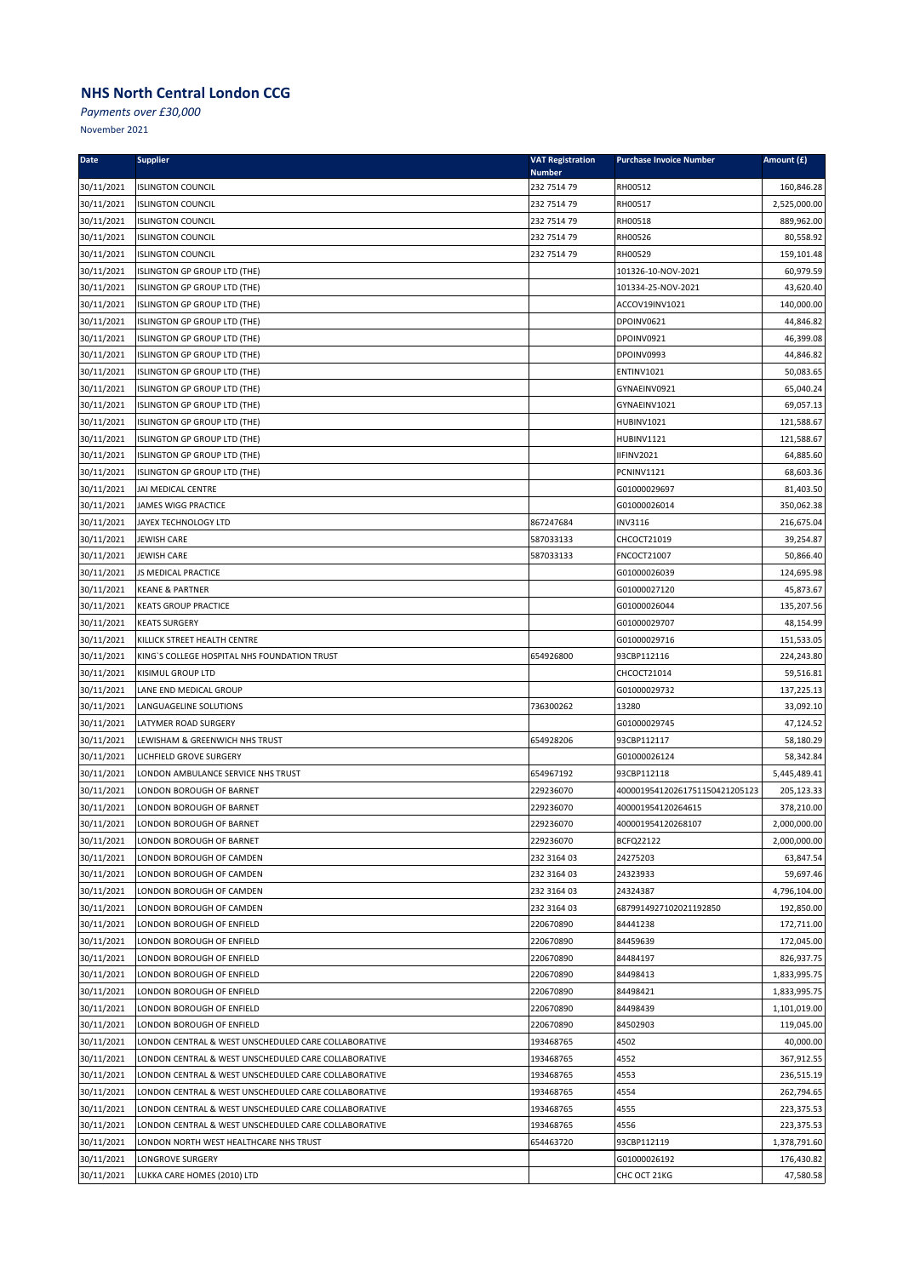*Payments over £30,000*

| Date                     | <b>Supplier</b>                                           | <b>VAT Registration</b><br><b>Number</b> | <b>Purchase Invoice Number</b> | Amount (£)              |
|--------------------------|-----------------------------------------------------------|------------------------------------------|--------------------------------|-------------------------|
| 30/11/2021               | <b>ISLINGTON COUNCIL</b>                                  | 232 7514 79                              | RH00512                        | 160,846.28              |
| 30/11/2021               | <b>ISLINGTON COUNCIL</b>                                  | 232 7514 79                              | RH00517                        | 2,525,000.00            |
| 30/11/2021               | <b>ISLINGTON COUNCIL</b>                                  | 232 7514 79                              | RH00518                        | 889,962.00              |
| 30/11/2021               | <b>ISLINGTON COUNCIL</b>                                  | 232 7514 79                              | RH00526                        | 80,558.92               |
| 30/11/2021               | <b>ISLINGTON COUNCIL</b>                                  | 232 7514 79                              | RH00529                        | 159,101.48              |
| 30/11/2021               | ISLINGTON GP GROUP LTD (THE)                              |                                          | 101326-10-NOV-2021             | 60,979.59               |
| 30/11/2021               | ISLINGTON GP GROUP LTD (THE)                              |                                          | 101334-25-NOV-2021             | 43,620.40               |
| 30/11/2021               | ISLINGTON GP GROUP LTD (THE)                              |                                          | ACCOV19INV1021                 | 140,000.00              |
| 30/11/2021               | ISLINGTON GP GROUP LTD (THE)                              |                                          | DPOINV0621                     | 44,846.82               |
| 30/11/2021               | ISLINGTON GP GROUP LTD (THE)                              |                                          | DPOINV0921                     | 46,399.08               |
| 30/11/2021               | ISLINGTON GP GROUP LTD (THE)                              |                                          | DPOINV0993                     | 44,846.82               |
| 30/11/2021               | ISLINGTON GP GROUP LTD (THE)                              |                                          | ENTINV1021                     | 50,083.65               |
| 30/11/2021               | ISLINGTON GP GROUP LTD (THE)                              |                                          | GYNAEINV0921                   | 65,040.24               |
| 30/11/2021               | ISLINGTON GP GROUP LTD (THE)                              |                                          | GYNAEINV1021                   | 69,057.13               |
| 30/11/2021               | ISLINGTON GP GROUP LTD (THE)                              |                                          | <b>HUBINV1021</b>              | 121,588.67              |
| 30/11/2021               | ISLINGTON GP GROUP LTD (THE)                              |                                          | <b>HUBINV1121</b>              | 121,588.67              |
| 30/11/2021               | ISLINGTON GP GROUP LTD (THE)                              |                                          | IIFINV2021                     | 64,885.60               |
| 30/11/2021               | ISLINGTON GP GROUP LTD (THE)                              |                                          | PCNINV1121                     | 68,603.36               |
| 30/11/2021               | JAI MEDICAL CENTRE                                        |                                          | G01000029697                   | 81,403.50               |
| 30/11/2021               | JAMES WIGG PRACTICE                                       |                                          | G01000026014                   | 350,062.38              |
| 30/11/2021               | JAYEX TECHNOLOGY LTD                                      | 867247684                                | <b>INV3116</b>                 | 216,675.04              |
| 30/11/2021               | <b>JEWISH CARE</b>                                        | 587033133                                | CHCOCT21019                    | 39,254.87               |
| 30/11/2021               | <b>JEWISH CARE</b>                                        | 587033133                                | FNCOCT21007                    | 50,866.40               |
| 30/11/2021               | JS MEDICAL PRACTICE                                       |                                          | G01000026039<br>G01000027120   | 124,695.98              |
| 30/11/2021<br>30/11/2021 | <b>KEANE &amp; PARTNER</b><br><b>KEATS GROUP PRACTICE</b> |                                          | G01000026044                   | 45,873.67<br>135,207.56 |
| 30/11/2021               | <b>KEATS SURGERY</b>                                      |                                          | G01000029707                   | 48,154.99               |
| 30/11/2021               | KILLICK STREET HEALTH CENTRE                              |                                          | G01000029716                   | 151,533.05              |
| 30/11/2021               | KING'S COLLEGE HOSPITAL NHS FOUNDATION TRUST              | 654926800                                | 93CBP112116                    | 224,243.80              |
| 30/11/2021               | KISIMUL GROUP LTD                                         |                                          | CHCOCT21014                    | 59,516.81               |
| 30/11/2021               | LANE END MEDICAL GROUP                                    |                                          | G01000029732                   | 137,225.13              |
| 30/11/2021               | LANGUAGELINE SOLUTIONS                                    | 736300262                                | 13280                          | 33,092.10               |
| 30/11/2021               | LATYMER ROAD SURGERY                                      |                                          | G01000029745                   | 47,124.52               |
| 30/11/2021               | LEWISHAM & GREENWICH NHS TRUST                            | 654928206                                | 93CBP112117                    | 58,180.29               |
| 30/11/2021               | LICHFIELD GROVE SURGERY                                   |                                          | G01000026124                   | 58,342.84               |
| 30/11/2021               | LONDON AMBULANCE SERVICE NHS TRUST                        | 654967192                                | 93CBP112118                    | 5,445,489.41            |
| 30/11/2021               | LONDON BOROUGH OF BARNET                                  | 229236070                                | 400001954120261751150421205123 | 205,123.33              |
| 30/11/2021               | LONDON BOROUGH OF BARNET                                  | 229236070                                | 400001954120264615             | 378,210.00              |
| 30/11/2021               | LONDON BOROUGH OF BARNET                                  | 229236070                                | 400001954120268107             | 2,000,000.00            |
| 30/11/2021               | LONDON BOROUGH OF BARNET                                  | 229236070                                | BCFQ22122                      | 2,000,000.00            |
| 30/11/2021               | LONDON BOROUGH OF CAMDEN                                  | 232 3164 03                              | 24275203                       | 63,847.54               |
| 30/11/2021               | LONDON BOROUGH OF CAMDEN                                  | 232 3164 03                              | 24323933                       | 59,697.46               |
| 30/11/2021               | LONDON BOROUGH OF CAMDEN                                  | 232 3164 03                              | 24324387                       | 4,796,104.00            |
| 30/11/2021               | LONDON BOROUGH OF CAMDEN                                  | 232 3164 03                              | 6879914927102021192850         | 192,850.00              |
| 30/11/2021               | LONDON BOROUGH OF ENFIELD                                 | 220670890                                | 84441238                       | 172,711.00              |
| 30/11/2021               | LONDON BOROUGH OF ENFIELD                                 | 220670890                                | 84459639                       | 172,045.00              |
| 30/11/2021               | LONDON BOROUGH OF ENFIELD                                 | 220670890                                | 84484197                       | 826,937.75              |
| 30/11/2021               | LONDON BOROUGH OF ENFIELD                                 | 220670890                                | 84498413                       | 1,833,995.75            |
| 30/11/2021               | LONDON BOROUGH OF ENFIELD                                 | 220670890                                | 84498421                       | 1,833,995.75            |
| 30/11/2021               | LONDON BOROUGH OF ENFIELD                                 | 220670890                                | 84498439                       | 1,101,019.00            |
| 30/11/2021               | LONDON BOROUGH OF ENFIELD                                 | 220670890                                | 84502903                       | 119,045.00              |
| 30/11/2021               | LONDON CENTRAL & WEST UNSCHEDULED CARE COLLABORATIVE      | 193468765                                | 4502                           | 40,000.00               |
| 30/11/2021               | LONDON CENTRAL & WEST UNSCHEDULED CARE COLLABORATIVE      | 193468765                                | 4552                           | 367,912.55              |
| 30/11/2021               | LONDON CENTRAL & WEST UNSCHEDULED CARE COLLABORATIVE      | 193468765                                | 4553                           | 236,515.19              |
| 30/11/2021               | LONDON CENTRAL & WEST UNSCHEDULED CARE COLLABORATIVE      | 193468765                                | 4554                           | 262,794.65              |
| 30/11/2021               | LONDON CENTRAL & WEST UNSCHEDULED CARE COLLABORATIVE      | 193468765                                | 4555                           | 223,375.53              |
| 30/11/2021               | LONDON CENTRAL & WEST UNSCHEDULED CARE COLLABORATIVE      | 193468765                                | 4556                           | 223,375.53              |
| 30/11/2021               | LONDON NORTH WEST HEALTHCARE NHS TRUST                    | 654463720                                | 93CBP112119                    | 1,378,791.60            |
| 30/11/2021               | LONGROVE SURGERY                                          |                                          | G01000026192                   | 176,430.82              |
| 30/11/2021               | LUKKA CARE HOMES (2010) LTD                               |                                          | CHC OCT 21KG                   | 47,580.58               |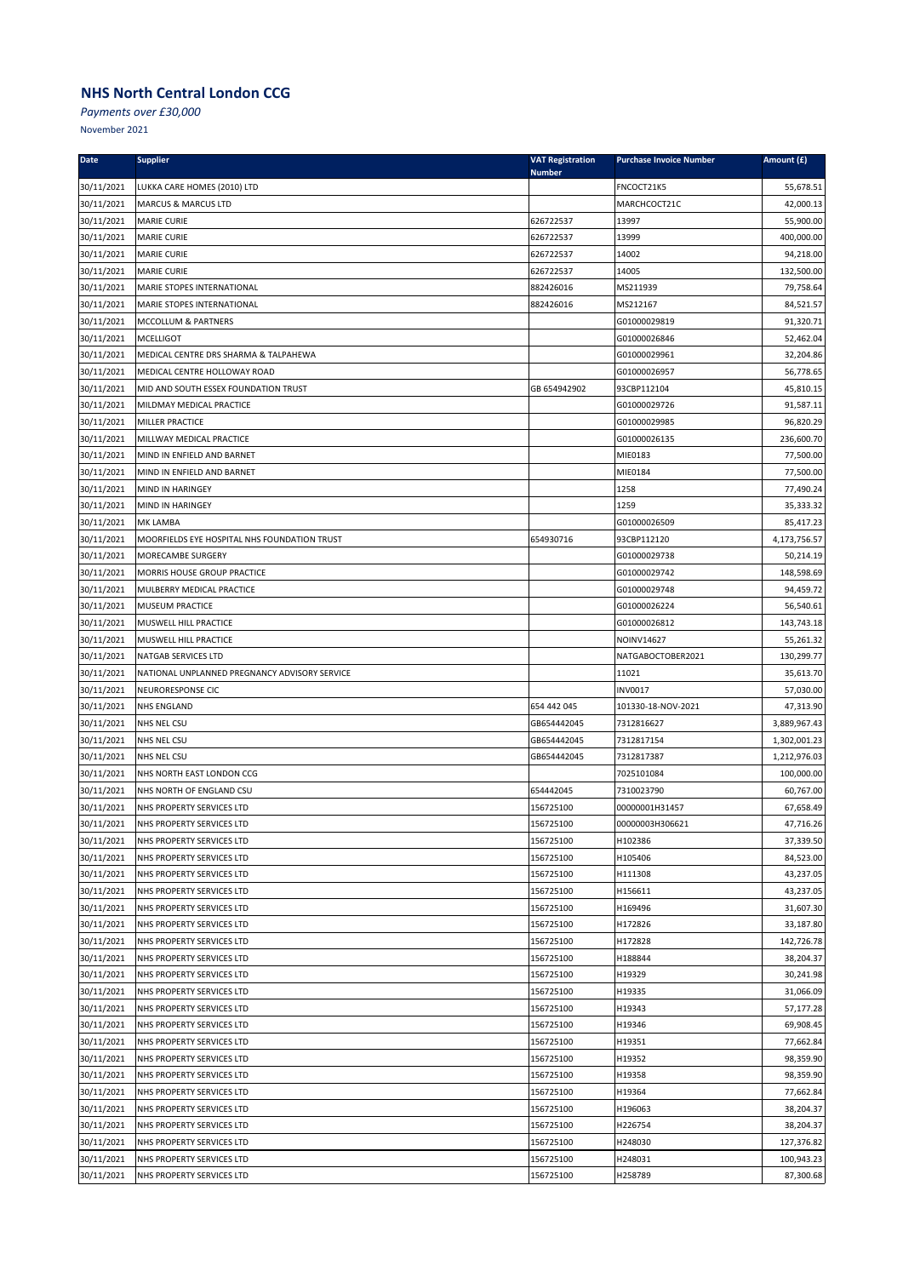*Payments over £30,000*

| <b>Date</b> | <b>Supplier</b>                               | <b>VAT Registration</b><br><b>Number</b> | <b>Purchase Invoice Number</b> | Amount (£)             |
|-------------|-----------------------------------------------|------------------------------------------|--------------------------------|------------------------|
| 30/11/2021  | LUKKA CARE HOMES (2010) LTD                   |                                          | FNCOCT21K5                     | 55,678.51              |
| 30/11/2021  | <b>MARCUS &amp; MARCUS LTD</b>                |                                          | MARCHCOCT21C                   | 42,000.13              |
| 30/11/2021  | <b>MARIE CURIE</b>                            | 626722537                                | 13997                          | 55,900.00              |
| 30/11/2021  | <b>MARIE CURIE</b>                            | 626722537                                | 13999                          | 400,000.00             |
| 30/11/2021  | <b>MARIE CURIE</b>                            | 626722537                                | 14002                          | 94,218.00              |
| 30/11/2021  | <b>MARIE CURIE</b>                            | 626722537                                | 14005                          | 132,500.00             |
| 30/11/2021  | MARIE STOPES INTERNATIONAL                    | 882426016                                | MS211939                       | 79,758.64              |
| 30/11/2021  | MARIE STOPES INTERNATIONAL                    | 882426016                                | MS212167                       | 84,521.57              |
| 30/11/2021  | MCCOLLUM & PARTNERS                           |                                          | G01000029819                   | 91,320.71              |
| 30/11/2021  | <b>MCELLIGOT</b>                              |                                          | G01000026846                   | 52,462.04              |
| 30/11/2021  | MEDICAL CENTRE DRS SHARMA & TALPAHEWA         |                                          | G01000029961                   | 32,204.86              |
| 30/11/2021  | MEDICAL CENTRE HOLLOWAY ROAD                  |                                          | G01000026957                   | 56,778.65              |
| 30/11/2021  | MID AND SOUTH ESSEX FOUNDATION TRUST          | GB 654942902                             | 93CBP112104                    | 45,810.15              |
| 30/11/2021  | MILDMAY MEDICAL PRACTICE                      |                                          | G01000029726                   | 91,587.11              |
| 30/11/2021  | MILLER PRACTICE                               |                                          | G01000029985                   | 96,820.29              |
| 30/11/2021  | MILLWAY MEDICAL PRACTICE                      |                                          | G01000026135                   | 236,600.70             |
| 30/11/2021  | MIND IN ENFIELD AND BARNET                    |                                          | MIE0183                        | 77,500.00              |
| 30/11/2021  | MIND IN ENFIELD AND BARNET                    |                                          | MIE0184                        | 77,500.00              |
| 30/11/2021  | MIND IN HARINGEY                              |                                          | 1258                           | 77,490.24              |
| 30/11/2021  | MIND IN HARINGEY                              |                                          | 1259                           | 35,333.32              |
| 30/11/2021  | MK LAMBA                                      |                                          | G01000026509                   | 85,417.23              |
| 30/11/2021  | MOORFIELDS EYE HOSPITAL NHS FOUNDATION TRUST  | 654930716                                | 93CBP112120                    | 4,173,756.57           |
| 30/11/2021  | MORECAMBE SURGERY                             |                                          | G01000029738                   | 50,214.19              |
| 30/11/2021  | MORRIS HOUSE GROUP PRACTICE                   |                                          | G01000029742                   | 148,598.69             |
| 30/11/2021  | MULBERRY MEDICAL PRACTICE                     |                                          | G01000029748                   | 94,459.72              |
| 30/11/2021  | <b>MUSEUM PRACTICE</b>                        |                                          | G01000026224                   | 56,540.61              |
| 30/11/2021  | MUSWELL HILL PRACTICE                         |                                          | G01000026812                   | 143,743.18             |
| 30/11/2021  | MUSWELL HILL PRACTICE                         |                                          | NOINV14627                     | 55,261.32              |
| 30/11/2021  | <b>NATGAB SERVICES LTD</b>                    |                                          | NATGABOCTOBER2021              | 130,299.77             |
| 30/11/2021  | NATIONAL UNPLANNED PREGNANCY ADVISORY SERVICE |                                          | 11021                          | 35,613.70              |
| 30/11/2021  | NEURORESPONSE CIC                             |                                          | <b>INV0017</b>                 | 57,030.00              |
| 30/11/2021  | <b>NHS ENGLAND</b>                            | 654 442 045                              | 101330-18-NOV-2021             | 47,313.90              |
| 30/11/2021  | NHS NEL CSU                                   | GB654442045                              | 7312816627                     | 3,889,967.43           |
| 30/11/2021  | <b>NHS NEL CSU</b>                            | GB654442045                              | 7312817154                     | 1,302,001.23           |
| 30/11/2021  | <b>NHS NEL CSU</b>                            | GB654442045                              | 7312817387                     | 1,212,976.03           |
| 30/11/2021  | NHS NORTH EAST LONDON CCG                     |                                          | 7025101084                     | 100,000.00             |
| 30/11/2021  | NHS NORTH OF ENGLAND CSU                      | 654442045                                | 7310023790                     | 60,767.00              |
| 30/11/2021  | NHS PROPERTY SERVICES LTD                     | 156725100                                | 00000001H31457                 | 67,658.49              |
| 30/11/2021  | NHS PROPERTY SERVICES LTD                     | 156725100                                | 00000003H306621                | 47,716.26              |
| 30/11/2021  | NHS PROPERTY SERVICES LTD                     | 156725100                                | H102386                        | 37,339.50              |
| 30/11/2021  | NHS PROPERTY SERVICES LTD                     | 156725100                                | H105406                        | 84,523.00              |
| 30/11/2021  | NHS PROPERTY SERVICES LTD                     | 156725100                                | H111308                        | 43,237.05              |
| 30/11/2021  | NHS PROPERTY SERVICES LTD                     | 156725100                                | H156611                        | 43,237.05              |
| 30/11/2021  | NHS PROPERTY SERVICES LTD                     | 156725100                                | H169496                        | 31,607.30              |
| 30/11/2021  | NHS PROPERTY SERVICES LTD                     | 156725100                                | H172826                        | 33,187.80              |
| 30/11/2021  | NHS PROPERTY SERVICES LTD                     | 156725100                                | H172828                        | 142,726.78             |
| 30/11/2021  | NHS PROPERTY SERVICES LTD                     | 156725100                                | H188844                        | 38,204.37<br>30,241.98 |
| 30/11/2021  | NHS PROPERTY SERVICES LTD                     | 156725100                                | H19329                         |                        |
| 30/11/2021  | NHS PROPERTY SERVICES LTD                     | 156725100                                | H19335                         | 31,066.09              |
| 30/11/2021  | NHS PROPERTY SERVICES LTD                     | 156725100                                | H19343                         | 57,177.28              |
| 30/11/2021  | NHS PROPERTY SERVICES LTD                     | 156725100                                | H19346                         | 69,908.45              |
| 30/11/2021  | NHS PROPERTY SERVICES LTD                     | 156725100                                | H19351                         | 77,662.84              |
| 30/11/2021  | NHS PROPERTY SERVICES LTD                     | 156725100                                | H19352                         | 98,359.90              |
| 30/11/2021  | NHS PROPERTY SERVICES LTD                     | 156725100                                | H19358                         | 98,359.90              |
| 30/11/2021  | NHS PROPERTY SERVICES LTD                     | 156725100                                | H19364                         | 77,662.84              |
| 30/11/2021  | NHS PROPERTY SERVICES LTD                     | 156725100                                | H196063                        | 38,204.37              |
| 30/11/2021  | NHS PROPERTY SERVICES LTD                     | 156725100                                | H226754                        | 38,204.37              |
| 30/11/2021  | NHS PROPERTY SERVICES LTD                     | 156725100                                | H248030                        | 127,376.82             |
| 30/11/2021  | NHS PROPERTY SERVICES LTD                     | 156725100                                | H248031                        | 100,943.23             |
| 30/11/2021  | NHS PROPERTY SERVICES LTD                     | 156725100                                | H258789                        | 87,300.68              |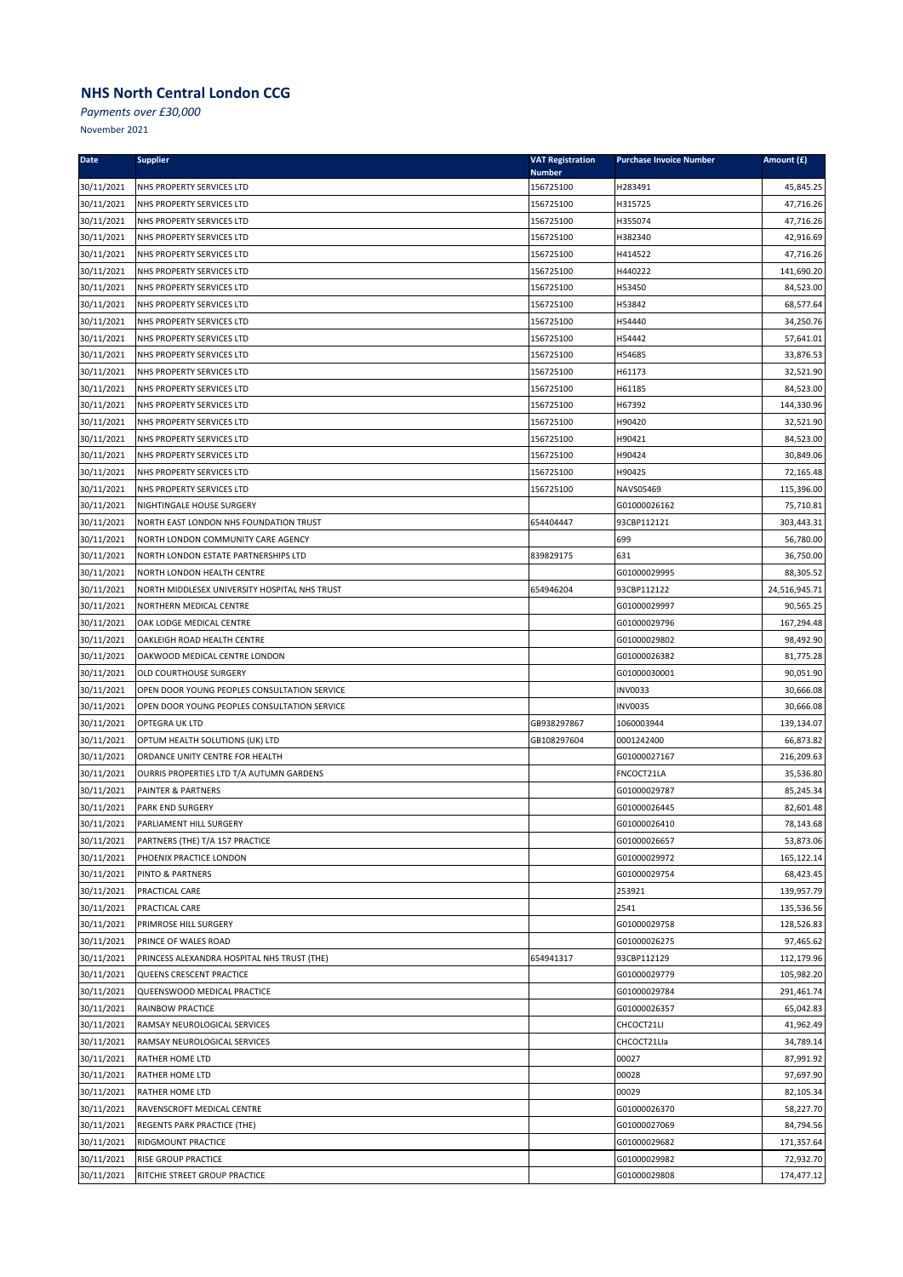*Payments over £30,000*

| <b>Date</b> | <b>Supplier</b>                               | <b>VAT Registration</b><br><b>Number</b> | <b>Purchase Invoice Number</b> | Amount (£)    |
|-------------|-----------------------------------------------|------------------------------------------|--------------------------------|---------------|
| 30/11/2021  | NHS PROPERTY SERVICES LTD                     | 156725100                                | H283491                        | 45,845.25     |
| 30/11/2021  | NHS PROPERTY SERVICES LTD                     | 156725100                                | H315725                        | 47,716.26     |
| 30/11/2021  | NHS PROPERTY SERVICES LTD                     | 156725100                                | H355074                        | 47,716.26     |
| 30/11/2021  | NHS PROPERTY SERVICES LTD                     | 156725100                                | H382340                        | 42,916.69     |
| 30/11/2021  | NHS PROPERTY SERVICES LTD                     | 156725100                                | H414522                        | 47,716.26     |
| 30/11/2021  | NHS PROPERTY SERVICES LTD                     | 156725100                                | H440222                        | 141,690.20    |
| 30/11/2021  | NHS PROPERTY SERVICES LTD                     | 156725100                                | H53450                         | 84,523.00     |
| 30/11/2021  | NHS PROPERTY SERVICES LTD                     | 156725100                                | H53842                         | 68,577.64     |
| 30/11/2021  | NHS PROPERTY SERVICES LTD                     | 156725100                                | H54440                         | 34,250.76     |
| 30/11/2021  | NHS PROPERTY SERVICES LTD                     | 156725100                                | H54442                         | 57,641.01     |
| 30/11/2021  | NHS PROPERTY SERVICES LTD                     | 156725100                                | H54685                         | 33,876.53     |
| 30/11/2021  | NHS PROPERTY SERVICES LTD                     | 156725100                                | H61173                         | 32,521.90     |
| 30/11/2021  | NHS PROPERTY SERVICES LTD                     | 156725100                                | H61185                         | 84,523.00     |
| 30/11/2021  | NHS PROPERTY SERVICES LTD                     | 156725100                                | H67392                         | 144,330.96    |
| 30/11/2021  | NHS PROPERTY SERVICES LTD                     | 156725100                                | H90420                         | 32,521.90     |
| 30/11/2021  | NHS PROPERTY SERVICES LTD                     | 156725100                                | H90421                         | 84,523.00     |
| 30/11/2021  | NHS PROPERTY SERVICES LTD                     | 156725100                                | H90424                         | 30,849.06     |
| 30/11/2021  | NHS PROPERTY SERVICES LTD                     | 156725100                                | H90425                         | 72,165.48     |
| 30/11/2021  | NHS PROPERTY SERVICES LTD                     | 156725100                                | NAVS05469                      | 115,396.00    |
| 30/11/2021  | NIGHTINGALE HOUSE SURGERY                     |                                          | G01000026162                   | 75,710.81     |
| 30/11/2021  | NORTH EAST LONDON NHS FOUNDATION TRUST        | 654404447                                | 93CBP112121                    | 303,443.31    |
| 30/11/2021  | NORTH LONDON COMMUNITY CARE AGENCY            |                                          | 699                            | 56,780.00     |
| 30/11/2021  | NORTH LONDON ESTATE PARTNERSHIPS LTD          | 839829175                                | 631                            | 36,750.00     |
| 30/11/2021  | NORTH LONDON HEALTH CENTRE                    |                                          | G01000029995                   | 88,305.52     |
| 30/11/2021  | NORTH MIDDLESEX UNIVERSITY HOSPITAL NHS TRUST | 654946204                                | 93CBP112122                    | 24,516,945.71 |
| 30/11/2021  | NORTHERN MEDICAL CENTRE                       |                                          | G01000029997                   | 90,565.25     |
| 30/11/2021  | OAK LODGE MEDICAL CENTRE                      |                                          | G01000029796                   | 167,294.48    |
| 30/11/2021  | OAKLEIGH ROAD HEALTH CENTRE                   |                                          | G01000029802                   | 98,492.90     |
| 30/11/2021  | OAKWOOD MEDICAL CENTRE LONDON                 |                                          | G01000026382                   | 81,775.28     |
| 30/11/2021  | OLD COURTHOUSE SURGERY                        |                                          | G01000030001                   | 90,051.90     |
| 30/11/2021  | OPEN DOOR YOUNG PEOPLES CONSULTATION SERVICE  |                                          | <b>INV0033</b>                 | 30,666.08     |
| 30/11/2021  | OPEN DOOR YOUNG PEOPLES CONSULTATION SERVICE  |                                          | <b>INV0035</b>                 | 30,666.08     |
| 30/11/2021  | OPTEGRA UK LTD                                | GB938297867                              | 1060003944                     | 139,134.07    |
| 30/11/2021  | OPTUM HEALTH SOLUTIONS (UK) LTD               | GB108297604                              | 0001242400                     | 66,873.82     |
| 30/11/2021  | ORDANCE UNITY CENTRE FOR HEALTH               |                                          | G01000027167                   | 216,209.63    |
| 30/11/2021  | OURRIS PROPERTIES LTD T/A AUTUMN GARDENS      |                                          | FNCOCT21LA                     | 35,536.80     |
| 30/11/2021  | PAINTER & PARTNERS                            |                                          | G01000029787                   | 85,245.34     |
| 30/11/2021  | <b>PARK END SURGERY</b>                       |                                          | G01000026445                   | 82,601.48     |
| 30/11/2021  | PARLIAMENT HILL SURGERY                       |                                          | G01000026410                   | 78,143.68     |
| 30/11/2021  | PARTNERS (THE) T/A 157 PRACTICE               |                                          | G01000026657                   | 53,873.06     |
| 30/11/2021  | PHOENIX PRACTICE LONDON                       |                                          | G01000029972                   | 165,122.14    |
| 30/11/2021  | PINTO & PARTNERS                              |                                          | G01000029754                   | 68,423.45     |
| 30/11/2021  | PRACTICAL CARE                                |                                          | 253921                         | 139,957.79    |
| 30/11/2021  | PRACTICAL CARE                                |                                          | 2541                           | 135,536.56    |
| 30/11/2021  | PRIMROSE HILL SURGERY                         |                                          | G01000029758                   | 128,526.83    |
| 30/11/2021  | PRINCE OF WALES ROAD                          |                                          | G01000026275                   | 97,465.62     |
| 30/11/2021  | PRINCESS ALEXANDRA HOSPITAL NHS TRUST (THE)   | 654941317                                | 93CBP112129                    | 112,179.96    |
| 30/11/2021  | QUEENS CRESCENT PRACTICE                      |                                          | G01000029779                   | 105,982.20    |
| 30/11/2021  | QUEENSWOOD MEDICAL PRACTICE                   |                                          | G01000029784                   | 291,461.74    |
| 30/11/2021  | RAINBOW PRACTICE                              |                                          | G01000026357                   | 65,042.83     |
| 30/11/2021  | RAMSAY NEUROLOGICAL SERVICES                  |                                          | CHCOCT21LI                     | 41,962.49     |
| 30/11/2021  | RAMSAY NEUROLOGICAL SERVICES                  |                                          | CHCOCT21LIa                    | 34,789.14     |
| 30/11/2021  | RATHER HOME LTD                               |                                          | 00027                          | 87,991.92     |
| 30/11/2021  | RATHER HOME LTD                               |                                          | 00028                          | 97,697.90     |
| 30/11/2021  | RATHER HOME LTD                               |                                          | 00029                          | 82,105.34     |
| 30/11/2021  | RAVENSCROFT MEDICAL CENTRE                    |                                          | G01000026370                   | 58,227.70     |
| 30/11/2021  | REGENTS PARK PRACTICE (THE)                   |                                          | G01000027069                   | 84,794.56     |
| 30/11/2021  | RIDGMOUNT PRACTICE                            |                                          | G01000029682                   | 171,357.64    |
| 30/11/2021  | RISE GROUP PRACTICE                           |                                          | G01000029982                   | 72,932.70     |
| 30/11/2021  | RITCHIE STREET GROUP PRACTICE                 |                                          | G01000029808                   | 174,477.12    |